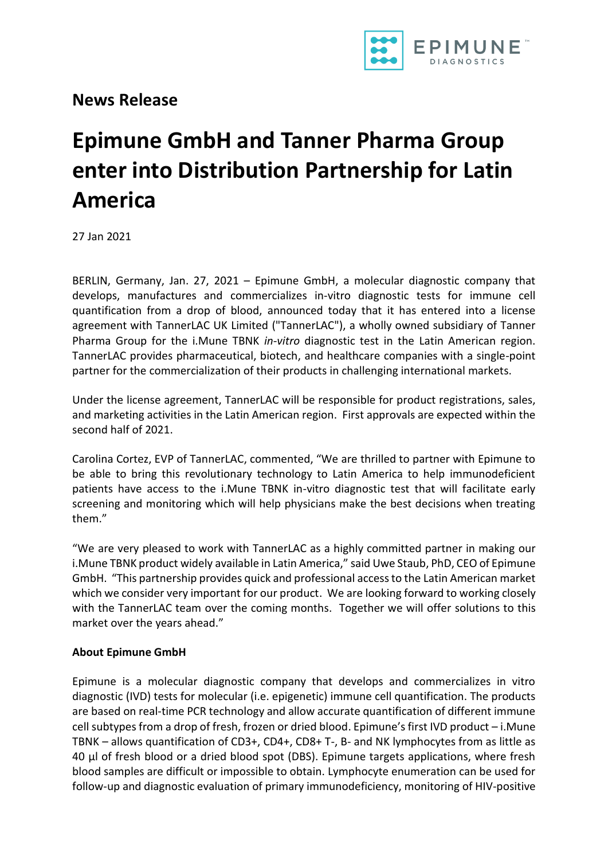

**News Release**

## **Epimune GmbH and Tanner Pharma Group enter into Distribution Partnership for Latin America**

27 Jan 2021

BERLIN, Germany, Jan. 27, 2021 – Epimune GmbH, a molecular diagnostic company that develops, manufactures and commercializes in-vitro diagnostic tests for immune cell quantification from a drop of blood, announced today that it has entered into a license agreement with TannerLAC UK Limited ("TannerLAC"), a wholly owned subsidiary of Tanner Pharma Group for the i.Mune TBNK *in-vitro* diagnostic test in the Latin American region. TannerLAC provides pharmaceutical, biotech, and healthcare companies with a single-point partner for the commercialization of their products in challenging international markets.

Under the license agreement, TannerLAC will be responsible for product registrations, sales, and marketing activities in the Latin American region. First approvals are expected within the second half of 2021.

Carolina Cortez, EVP of TannerLAC, commented, "We are thrilled to partner with Epimune to be able to bring this revolutionary technology to Latin America to help immunodeficient patients have access to the i.Mune TBNK in-vitro diagnostic test that will facilitate early screening and monitoring which will help physicians make the best decisions when treating them."

"We are very pleased to work with TannerLAC as a highly committed partner in making our i.Mune TBNK product widely available in Latin America," said Uwe Staub, PhD, CEO of Epimune GmbH. "This partnership provides quick and professional access to the Latin American market which we consider very important for our product. We are looking forward to working closely with the TannerLAC team over the coming months. Together we will offer solutions to this market over the years ahead."

## **About Epimune GmbH**

Epimune is a molecular diagnostic company that develops and commercializes in vitro diagnostic (IVD) tests for molecular (i.e. epigenetic) immune cell quantification. The products are based on real-time PCR technology and allow accurate quantification of different immune cell subtypes from a drop of fresh, frozen or dried blood. Epimune's first IVD product – i.Mune TBNK – allows quantification of CD3+, CD4+, CD8+ T-, B- and NK lymphocytes from as little as 40 µl of fresh blood or a dried blood spot (DBS). Epimune targets applications, where fresh blood samples are difficult or impossible to obtain. Lymphocyte enumeration can be used for follow-up and diagnostic evaluation of primary immunodeficiency, monitoring of HIV-positive